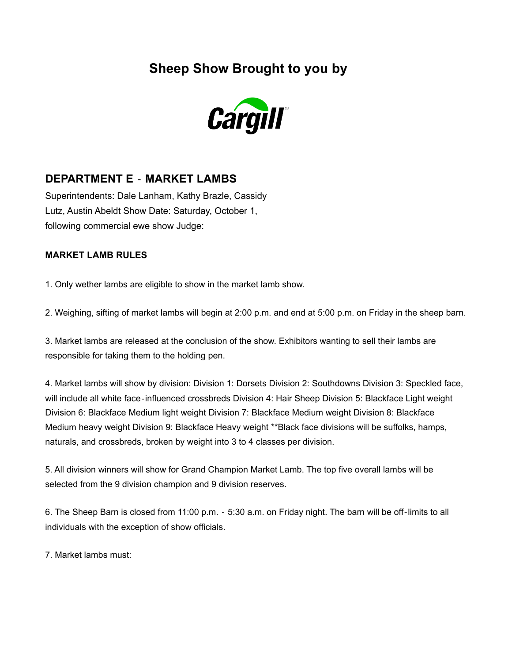**Sheep Show Brought to you by**



## **DEPARTMENT E** ‐ **MARKET LAMBS**

Superintendents: Dale Lanham, Kathy Brazle, Cassidy Lutz, Austin Abeldt Show Date: Saturday, October 1, following commercial ewe show Judge:

## **MARKET LAMB RULES**

1. Only wether lambs are eligible to show in the market lamb show.

2. Weighing, sifting of market lambs will begin at 2:00 p.m. and end at 5:00 p.m. on Friday in the sheep barn.

3. Market lambs are released at the conclusion of the show. Exhibitors wanting to sell their lambs are responsible for taking them to the holding pen.

4. Market lambs will show by division: Division 1: Dorsets Division 2: Southdowns Division 3: Speckled face, will include all white face-influenced crossbreds Division 4: Hair Sheep Division 5: Blackface Light weight Division 6: Blackface Medium light weight Division 7: Blackface Medium weight Division 8: Blackface Medium heavy weight Division 9: Blackface Heavy weight \*\*Black face divisions will be suffolks, hamps, naturals, and crossbreds, broken by weight into 3 to 4 classes per division.

5. All division winners will show for Grand Champion Market Lamb. The top five overall lambs will be selected from the 9 division champion and 9 division reserves.

6. The Sheep Barn is closed from 11:00 p.m. ‐ 5:30 a.m. on Friday night. The barn will be off‐limits to all individuals with the exception of show officials.

7. Market lambs must: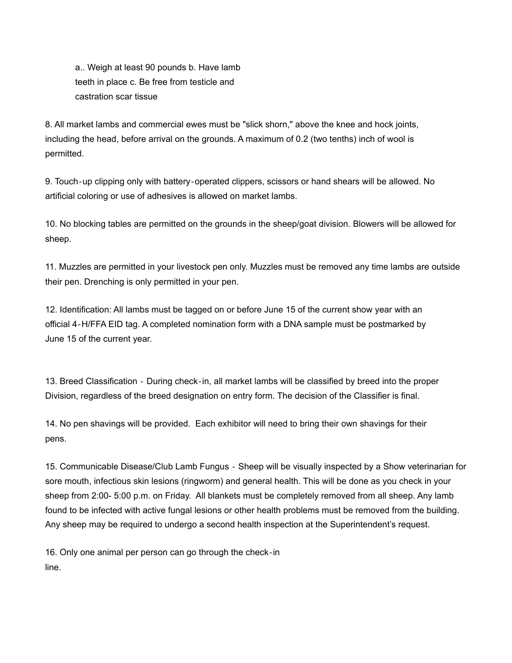a.. Weigh at least 90 pounds b. Have lamb teeth in place c. Be free from testicle and castration scar tissue

8. All market lambs and commercial ewes must be "slick shorn," above the knee and hock joints, including the head, before arrival on the grounds. A maximum of 0.2 (two tenths) inch of wool is permitted.

9. Touch-up clipping only with battery-operated clippers, scissors or hand shears will be allowed. No artificial coloring or use of adhesives is allowed on market lambs.

10. No blocking tables are permitted on the grounds in the sheep/goat division. Blowers will be allowed for sheep.

11. Muzzles are permitted in your livestock pen only. Muzzles must be removed any time lambs are outside their pen. Drenching is only permitted in your pen.

12. Identification: All lambs must be tagged on or before June 15 of the current show year with an official 4‐H/FFA EID tag. A completed nomination form with a DNA sample must be postmarked by June 15 of the current year.

13. Breed Classification - During check-in, all market lambs will be classified by breed into the proper Division, regardless of the breed designation on entry form. The decision of the Classifier is final.

14. No pen shavings will be provided. Each exhibitor will need to bring their own shavings for their pens.

15. Communicable Disease/Club Lamb Fungus ‐ Sheep will be visually inspected by a Show veterinarian for sore mouth, infectious skin lesions (ringworm) and general health. This will be done as you check in your sheep from 2:00- 5:00 p.m. on Friday. All blankets must be completely removed from all sheep. Any lamb found to be infected with active fungal lesions or other health problems must be removed from the building. Any sheep may be required to undergo a second health inspection at the Superintendent's request.

16. Only one animal per person can go through the check‐in line.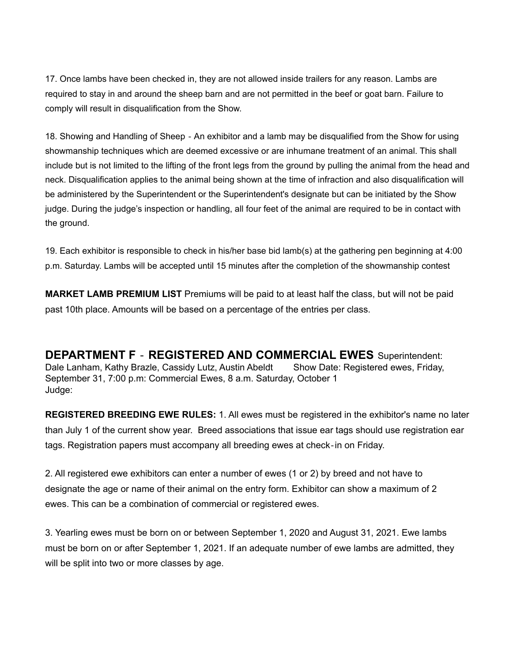17. Once lambs have been checked in, they are not allowed inside trailers for any reason. Lambs are required to stay in and around the sheep barn and are not permitted in the beef or goat barn. Failure to comply will result in disqualification from the Show.

18. Showing and Handling of Sheep ‐ An exhibitor and a lamb may be disqualified from the Show for using showmanship techniques which are deemed excessive or are inhumane treatment of an animal. This shall include but is not limited to the lifting of the front legs from the ground by pulling the animal from the head and neck. Disqualification applies to the animal being shown at the time of infraction and also disqualification will be administered by the Superintendent or the Superintendent's designate but can be initiated by the Show judge. During the judge's inspection or handling, all four feet of the animal are required to be in contact with the ground.

19. Each exhibitor is responsible to check in his/her base bid lamb(s) at the gathering pen beginning at 4:00 p.m. Saturday. Lambs will be accepted until 15 minutes after the completion of the showmanship contest

**MARKET LAMB PREMIUM LIST** Premiums will be paid to at least half the class, but will not be paid past 10th place. Amounts will be based on a percentage of the entries per class.

**DEPARTMENT F** ‐ **REGISTERED AND COMMERCIAL EWES** Superintendent: Dale Lanham, Kathy Brazle, Cassidy Lutz, Austin Abeldt Show Date: Registered ewes, Friday, September 31, 7:00 p.m: Commercial Ewes, 8 a.m. Saturday, October 1 Judge:

**REGISTERED BREEDING EWE RULES:** 1. All ewes must be registered in the exhibitor's name no later than July 1 of the current show year. Breed associations that issue ear tags should use registration ear tags. Registration papers must accompany all breeding ewes at check‐in on Friday.

2. All registered ewe exhibitors can enter a number of ewes (1 or 2) by breed and not have to designate the age or name of their animal on the entry form. Exhibitor can show a maximum of 2 ewes. This can be a combination of commercial or registered ewes.

3. Yearling ewes must be born on or between September 1, 2020 and August 31, 2021. Ewe lambs must be born on or after September 1, 2021. If an adequate number of ewe lambs are admitted, they will be split into two or more classes by age.